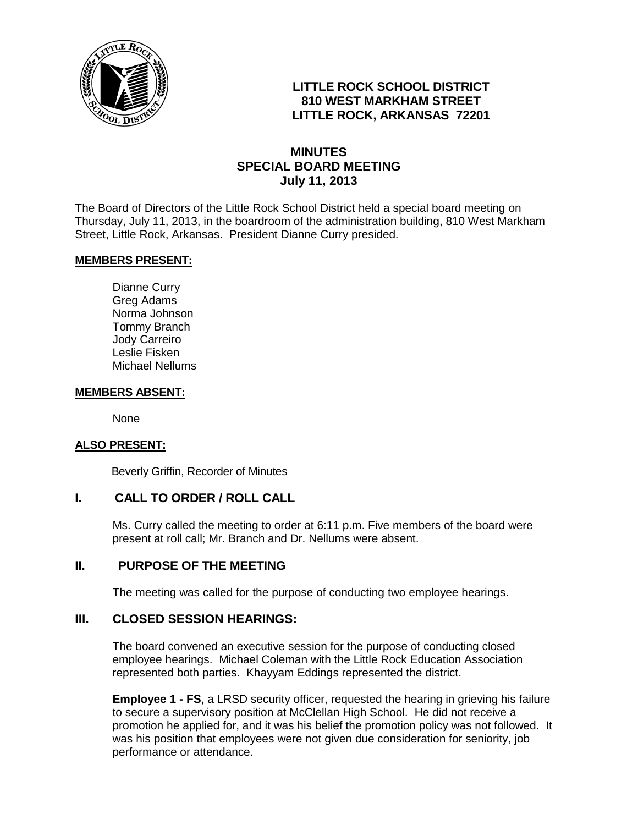

# **LITTLE ROCK SCHOOL DISTRICT 810 WEST MARKHAM STREET LITTLE ROCK, ARKANSAS 72201**

# **MINUTES SPECIAL BOARD MEETING July 11, 2013**

The Board of Directors of the Little Rock School District held a special board meeting on Thursday, July 11, 2013, in the boardroom of the administration building, 810 West Markham Street, Little Rock, Arkansas. President Dianne Curry presided.

## **MEMBERS PRESENT:**

Dianne Curry Greg Adams Norma Johnson Tommy Branch Jody Carreiro Leslie Fisken Michael Nellums

#### **MEMBERS ABSENT:**

None

#### **ALSO PRESENT:**

Beverly Griffin, Recorder of Minutes

## **I. CALL TO ORDER / ROLL CALL**

Ms. Curry called the meeting to order at 6:11 p.m. Five members of the board were present at roll call; Mr. Branch and Dr. Nellums were absent.

## **II. PURPOSE OF THE MEETING**

The meeting was called for the purpose of conducting two employee hearings.

## **III. CLOSED SESSION HEARINGS:**

The board convened an executive session for the purpose of conducting closed employee hearings. Michael Coleman with the Little Rock Education Association represented both parties. Khayyam Eddings represented the district.

**Employee 1 - FS**, a LRSD security officer, requested the hearing in grieving his failure to secure a supervisory position at McClellan High School. He did not receive a promotion he applied for, and it was his belief the promotion policy was not followed. It was his position that employees were not given due consideration for seniority, job performance or attendance.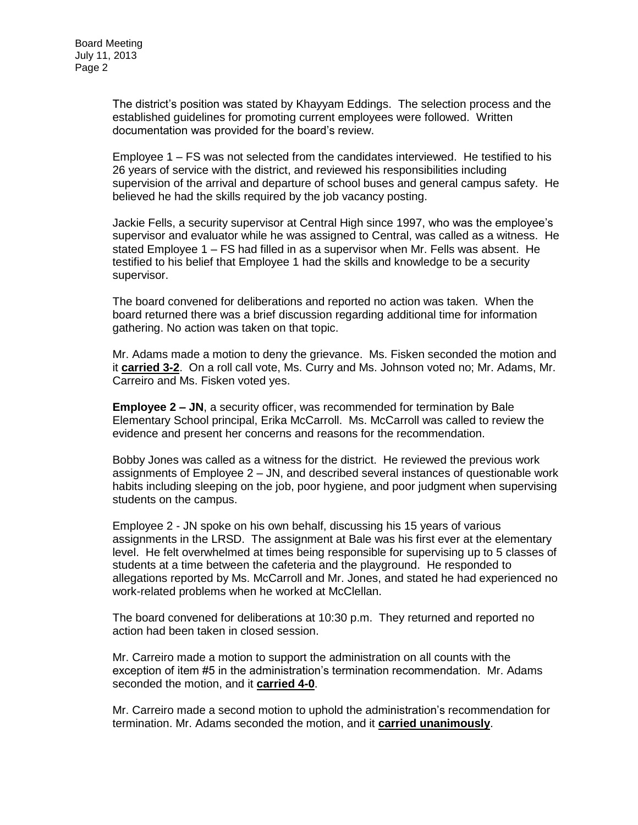The district's position was stated by Khayyam Eddings. The selection process and the established guidelines for promoting current employees were followed. Written documentation was provided for the board's review.

Employee 1 – FS was not selected from the candidates interviewed. He testified to his 26 years of service with the district, and reviewed his responsibilities including supervision of the arrival and departure of school buses and general campus safety. He believed he had the skills required by the job vacancy posting.

Jackie Fells, a security supervisor at Central High since 1997, who was the employee's supervisor and evaluator while he was assigned to Central, was called as a witness. He stated Employee 1 – FS had filled in as a supervisor when Mr. Fells was absent. He testified to his belief that Employee 1 had the skills and knowledge to be a security supervisor.

The board convened for deliberations and reported no action was taken. When the board returned there was a brief discussion regarding additional time for information gathering. No action was taken on that topic.

Mr. Adams made a motion to deny the grievance. Ms. Fisken seconded the motion and it **carried 3-2**. On a roll call vote, Ms. Curry and Ms. Johnson voted no; Mr. Adams, Mr. Carreiro and Ms. Fisken voted yes.

**Employee 2 – JN**, a security officer, was recommended for termination by Bale Elementary School principal, Erika McCarroll. Ms. McCarroll was called to review the evidence and present her concerns and reasons for the recommendation.

Bobby Jones was called as a witness for the district. He reviewed the previous work assignments of Employee 2 – JN, and described several instances of questionable work habits including sleeping on the job, poor hygiene, and poor judgment when supervising students on the campus.

Employee 2 - JN spoke on his own behalf, discussing his 15 years of various assignments in the LRSD. The assignment at Bale was his first ever at the elementary level. He felt overwhelmed at times being responsible for supervising up to 5 classes of students at a time between the cafeteria and the playground. He responded to allegations reported by Ms. McCarroll and Mr. Jones, and stated he had experienced no work-related problems when he worked at McClellan.

The board convened for deliberations at 10:30 p.m. They returned and reported no action had been taken in closed session.

Mr. Carreiro made a motion to support the administration on all counts with the exception of item #5 in the administration's termination recommendation. Mr. Adams seconded the motion, and it **carried 4-0**.

Mr. Carreiro made a second motion to uphold the administration's recommendation for termination. Mr. Adams seconded the motion, and it **carried unanimously**.